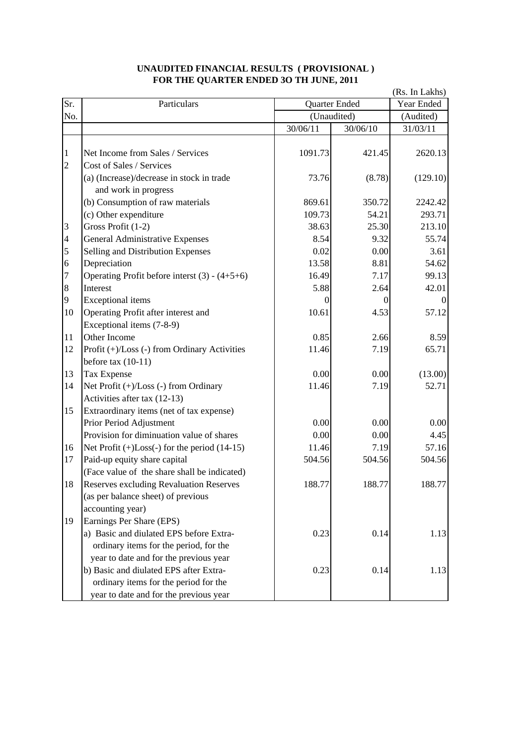|                         |                                                      | (Rs. In Lakhs) |                              |          |
|-------------------------|------------------------------------------------------|----------------|------------------------------|----------|
| Sr.                     | Particulars                                          |                | Quarter Ended<br>(Unaudited) |          |
| No.                     |                                                      |                |                              |          |
|                         |                                                      | 30/06/11       | 30/06/10                     | 31/03/11 |
|                         |                                                      |                |                              |          |
| $\mathbf{1}$            | Net Income from Sales / Services                     | 1091.73        | 421.45                       | 2620.13  |
| $\overline{c}$          | Cost of Sales / Services                             |                |                              |          |
|                         | (a) (Increase)/decrease in stock in trade            | 73.76          | (8.78)                       | (129.10) |
|                         | and work in progress                                 |                |                              |          |
|                         | (b) Consumption of raw materials                     | 869.61         | 350.72                       | 2242.42  |
|                         | (c) Other expenditure                                | 109.73         | 54.21                        | 293.71   |
| 3                       | Gross Profit (1-2)                                   | 38.63          | 25.30                        | 213.10   |
| $\overline{\mathbf{4}}$ | <b>General Administrative Expenses</b>               | 8.54           | 9.32                         | 55.74    |
| 5                       | Selling and Distribution Expenses                    | 0.02           | 0.00                         | 3.61     |
| $\boldsymbol{6}$        | Depreciation                                         | 13.58          | 8.81                         | 54.62    |
| 7                       | Operating Profit before interst $(3) - (4+5+6)$      | 16.49          | 7.17                         | 99.13    |
| $\,8$                   | Interest                                             | 5.88           | 2.64                         | 42.01    |
| 9                       | <b>Exceptional</b> items                             | 0              | 0                            |          |
| 10                      | Operating Profit after interest and                  | 10.61          | 4.53                         | 57.12    |
|                         | Exceptional items (7-8-9)                            |                |                              |          |
| 11                      | Other Income                                         | 0.85           | 2.66                         | 8.59     |
| 12                      | Profit (+)/Loss (-) from Ordinary Activities         | 11.46          | 7.19                         | 65.71    |
|                         | before tax $(10-11)$                                 |                |                              |          |
| 13                      | Tax Expense                                          | 0.00           | 0.00                         | (13.00)  |
| 14                      | Net Profit $(+)/$ Loss $(-)$ from Ordinary           | 11.46          | 7.19                         | 52.71    |
|                         | Activities after tax (12-13)                         |                |                              |          |
| 15                      | Extraordinary items (net of tax expense)             |                |                              |          |
|                         | Prior Period Adjustment                              | 0.00           | 0.00                         | 0.00     |
|                         | Provision for diminuation value of shares            | 0.00           | 0.00                         | 4.45     |
| 16                      | Net Profit $(+)$ Loss $(-)$ for the period $(14-15)$ | 11.46          | 7.19                         | 57.16    |
| 17                      | Paid-up equity share capital                         | 504.56         | 504.56                       | 504.56   |
|                         | (Face value of the share shall be indicated)         |                |                              |          |
| 18                      | <b>Reserves excluding Revaluation Reserves</b>       | 188.77         | 188.77                       | 188.77   |
|                         | (as per balance sheet) of previous                   |                |                              |          |
|                         | accounting year)                                     |                |                              |          |
| 19                      | Earnings Per Share (EPS)                             |                |                              |          |
|                         | a) Basic and diulated EPS before Extra-              | 0.23           | 0.14                         | 1.13     |
|                         | ordinary items for the period, for the               |                |                              |          |
|                         | year to date and for the previous year               |                |                              |          |
|                         | b) Basic and diulated EPS after Extra-               | 0.23           | 0.14                         | 1.13     |
|                         | ordinary items for the period for the                |                |                              |          |
|                         | year to date and for the previous year               |                |                              |          |

## **UNAUDITED FINANCIAL RESULTS ( PROVISIONAL ) FOR THE QUARTER ENDED 3O TH JUNE, 2011**